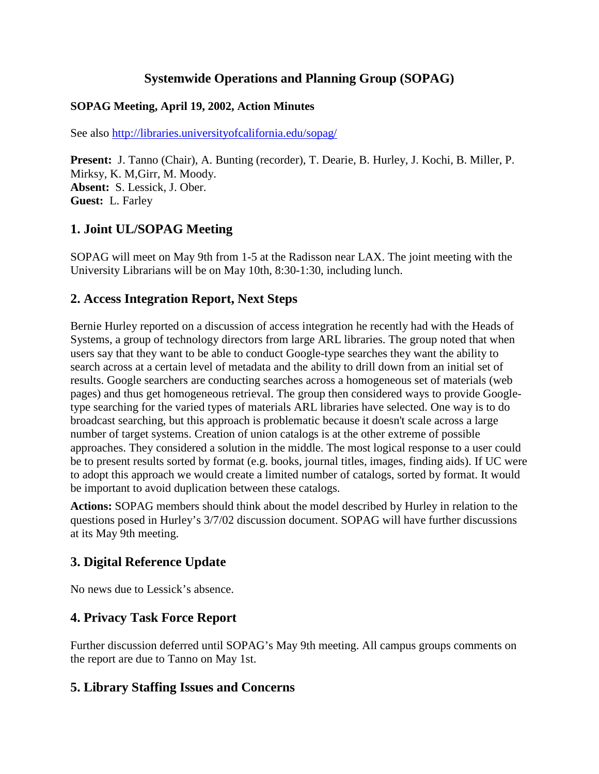### **Systemwide Operations and Planning Group (SOPAG)**

#### **SOPAG Meeting, April 19, 2002, Action Minutes**

See also http://libraries.universityofcalifornia.edu/sopag/

**Present:** J. Tanno (Chair), A. Bunting (recorder), T. Dearie, B. Hurley, J. Kochi, B. Miller, P. Mirksy, K. M,Girr, M. Moody. **Absent:** S. Lessick, J. Ober. **Guest:** L. Farley

### **1. Joint UL/SOPAG Meeting**

SOPAG will meet on May 9th from 1-5 at the Radisson near LAX. The joint meeting with the University Librarians will be on May 10th, 8:30-1:30, including lunch.

### **2. Access Integration Report, Next Steps**

Bernie Hurley reported on a discussion of access integration he recently had with the Heads of Systems, a group of technology directors from large ARL libraries. The group noted that when users say that they want to be able to conduct Google-type searches they want the ability to search across at a certain level of metadata and the ability to drill down from an initial set of results. Google searchers are conducting searches across a homogeneous set of materials (web pages) and thus get homogeneous retrieval. The group then considered ways to provide Googletype searching for the varied types of materials ARL libraries have selected. One way is to do broadcast searching, but this approach is problematic because it doesn't scale across a large number of target systems. Creation of union catalogs is at the other extreme of possible approaches. They considered a solution in the middle. The most logical response to a user could be to present results sorted by format (e.g. books, journal titles, images, finding aids). If UC were to adopt this approach we would create a limited number of catalogs, sorted by format. It would be important to avoid duplication between these catalogs.

**Actions:** SOPAG members should think about the model described by Hurley in relation to the questions posed in Hurley's 3/7/02 discussion document. SOPAG will have further discussions at its May 9th meeting.

### **3. Digital Reference Update**

No news due to Lessick's absence.

### **4. Privacy Task Force Report**

Further discussion deferred until SOPAG's May 9th meeting. All campus groups comments on the report are due to Tanno on May 1st.

### **5. Library Staffing Issues and Concerns**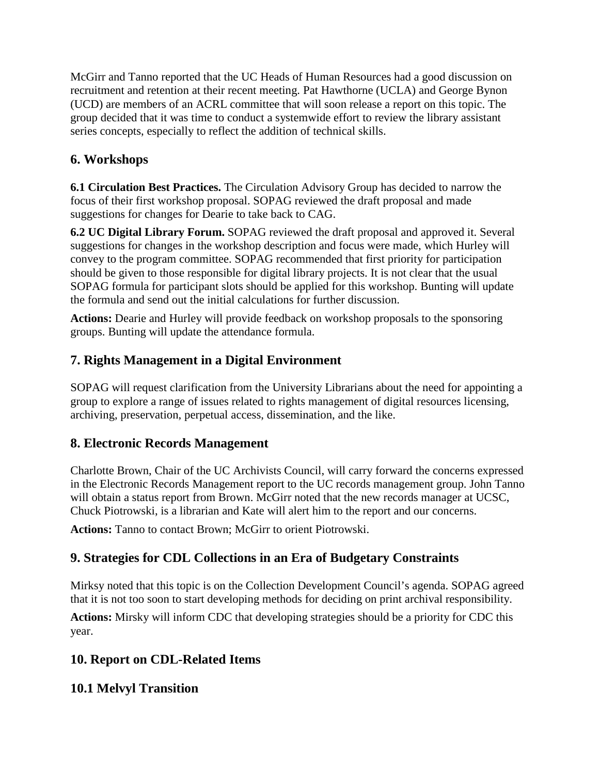McGirr and Tanno reported that the UC Heads of Human Resources had a good discussion on recruitment and retention at their recent meeting. Pat Hawthorne (UCLA) and George Bynon (UCD) are members of an ACRL committee that will soon release a report on this topic. The group decided that it was time to conduct a systemwide effort to review the library assistant series concepts, especially to reflect the addition of technical skills.

## **6. Workshops**

**6.1 Circulation Best Practices.** The Circulation Advisory Group has decided to narrow the focus of their first workshop proposal. SOPAG reviewed the draft proposal and made suggestions for changes for Dearie to take back to CAG.

**6.2 UC Digital Library Forum.** SOPAG reviewed the draft proposal and approved it. Several suggestions for changes in the workshop description and focus were made, which Hurley will convey to the program committee. SOPAG recommended that first priority for participation should be given to those responsible for digital library projects. It is not clear that the usual SOPAG formula for participant slots should be applied for this workshop. Bunting will update the formula and send out the initial calculations for further discussion.

**Actions:** Dearie and Hurley will provide feedback on workshop proposals to the sponsoring groups. Bunting will update the attendance formula.

## **7. Rights Management in a Digital Environment**

SOPAG will request clarification from the University Librarians about the need for appointing a group to explore a range of issues related to rights management of digital resources licensing, archiving, preservation, perpetual access, dissemination, and the like.

## **8. Electronic Records Management**

Charlotte Brown, Chair of the UC Archivists Council, will carry forward the concerns expressed in the Electronic Records Management report to the UC records management group. John Tanno will obtain a status report from Brown. McGirr noted that the new records manager at UCSC, Chuck Piotrowski, is a librarian and Kate will alert him to the report and our concerns.

**Actions:** Tanno to contact Brown; McGirr to orient Piotrowski.

# **9. Strategies for CDL Collections in an Era of Budgetary Constraints**

Mirksy noted that this topic is on the Collection Development Council's agenda. SOPAG agreed that it is not too soon to start developing methods for deciding on print archival responsibility.

**Actions:** Mirsky will inform CDC that developing strategies should be a priority for CDC this year.

## **10. Report on CDL-Related Items**

## **10.1 Melvyl Transition**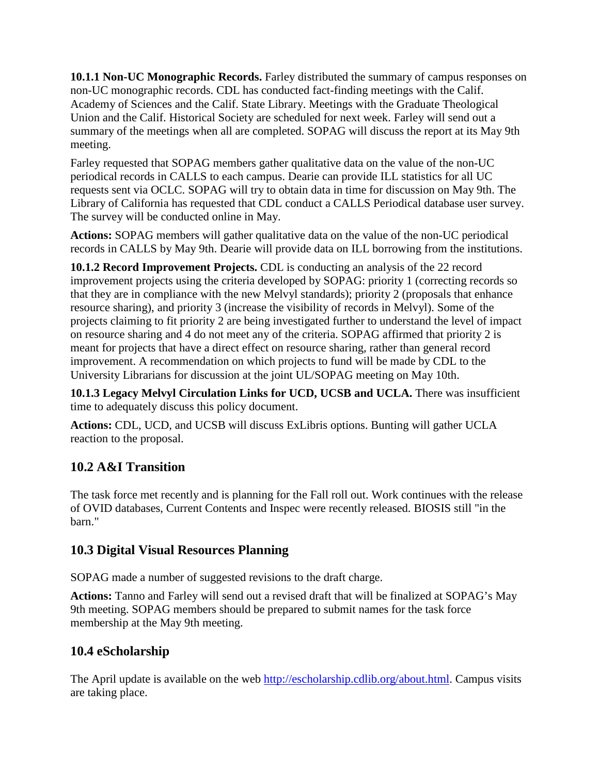**10.1.1 Non-UC Monographic Records.** Farley distributed the summary of campus responses on non-UC monographic records. CDL has conducted fact-finding meetings with the Calif. Academy of Sciences and the Calif. State Library. Meetings with the Graduate Theological Union and the Calif. Historical Society are scheduled for next week. Farley will send out a summary of the meetings when all are completed. SOPAG will discuss the report at its May 9th meeting.

Farley requested that SOPAG members gather qualitative data on the value of the non-UC periodical records in CALLS to each campus. Dearie can provide ILL statistics for all UC requests sent via OCLC. SOPAG will try to obtain data in time for discussion on May 9th. The Library of California has requested that CDL conduct a CALLS Periodical database user survey. The survey will be conducted online in May.

**Actions:** SOPAG members will gather qualitative data on the value of the non-UC periodical records in CALLS by May 9th. Dearie will provide data on ILL borrowing from the institutions.

**10.1.2 Record Improvement Projects.** CDL is conducting an analysis of the 22 record improvement projects using the criteria developed by SOPAG: priority 1 (correcting records so that they are in compliance with the new Melvyl standards); priority 2 (proposals that enhance resource sharing), and priority 3 (increase the visibility of records in Melvyl). Some of the projects claiming to fit priority 2 are being investigated further to understand the level of impact on resource sharing and 4 do not meet any of the criteria. SOPAG affirmed that priority 2 is meant for projects that have a direct effect on resource sharing, rather than general record improvement. A recommendation on which projects to fund will be made by CDL to the University Librarians for discussion at the joint UL/SOPAG meeting on May 10th.

**10.1.3 Legacy Melvyl Circulation Links for UCD, UCSB and UCLA.** There was insufficient time to adequately discuss this policy document.

**Actions:** CDL, UCD, and UCSB will discuss ExLibris options. Bunting will gather UCLA reaction to the proposal.

## **10.2 A&I Transition**

The task force met recently and is planning for the Fall roll out. Work continues with the release of OVID databases, Current Contents and Inspec were recently released. BIOSIS still "in the barn."

### **10.3 Digital Visual Resources Planning**

SOPAG made a number of suggested revisions to the draft charge.

**Actions:** Tanno and Farley will send out a revised draft that will be finalized at SOPAG's May 9th meeting. SOPAG members should be prepared to submit names for the task force membership at the May 9th meeting.

# **10.4 eScholarship**

The April update is available on the web [http://escholarship.cdlib.org/about.html.](http://escholarship.cdlib.org/about.html) Campus visits are taking place.